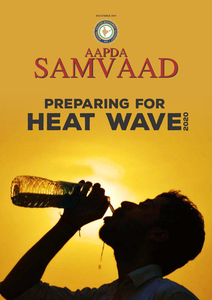

# Preparing for HEAT WAVE?

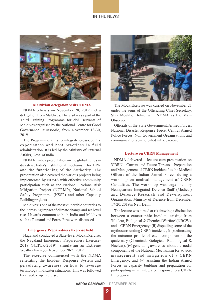### IN THE NEWS



#### **Maldivian delegation visits NDMA**

NDMA officials on November 28, 2019 met a delegation from Maldives. The visit was a part of the Third Training Programme for civil servants of Maldives organised by the National Centre for Good Governance, Mussoorie, from November 18-30, 2019.

The Programme aims to integrate cross-country experiences and best practices in field administration. It is led by the Ministry of External Affairs, Govt. of India.

NDMAmade a presentation on the global trends in disasters, India's institutional mechanism for DRR and the functioning of the Authority. The presentation also covered the various projects being implemented by NDMA with effective community participation such as the National Cyclone Risk Mitigation Project (NCRMP), National School Safety Programme (NSSP) and other Capacity Building projects.

Maldives is one of the most vulnerable countries to the increasing impact of climate change and sea level rise. Hazards common to both India and Maldives such as Tsunami and Forest Fires were discussed.

#### **Emergency Preparedness Exercise held**

Nagaland conducted a State-level Mock Exercise, the Nagaland Emergency Preparedness Exercise-2019 (NEPEx-2019), simulating an Extreme Weather Event, on November 20-21 2019.

The exercise commenced with the NDMA reiterating the Incident Response System and percolating awareness on how to leverage technology in disaster situations. This was followed by a Table-Top Exercise.



The Mock Exercise was carried on November 21 under the aegis of the Officiating Chief Secretary, Shri Meukhol John, with NDMA as the Main **Observer** 

Officials of the State Government, Armed Forces, National Disaster Response Force, Central Armed Police Forces, Non Government Organisations and communications participated in the exercise.

#### **Lecture on CBRN Management**

NDMA delivered a lecture-cum-presentation on 'CBRN - Current and Future Threats - Preparation and Management of CBRN Incidents' to the Medical Officers of the Indian Armed Forces during a workshop on medical management of CBRN Casualties. The workshop was organised by Headquarters Integrated Defence Staff (Medical) and Defence Research and Development Organisation, Ministry of Defence from December 17-20, 2019 in New Delhi.

The lecture was aimed at (i) drawing a distinction between a catastrophic incident arising from 'Nuclear, Biological & Chemical Warfare' (NBCW), and a CBRN Emergency; (ii) dispelling some of the myths surrounding CBRN incidents; (iii) delineating the outcome profile of each component of the quaternary (Chemical, Biological, Radiological & Nuclear); (iv) generating awareness about the nodal components of the National Mechanism for advice, management and mitigation of a CBRN Emergency; and (v) assisting the Indian Armed Forces in capacity building and preparation for participating in an integrated response to a CBRN Emergency.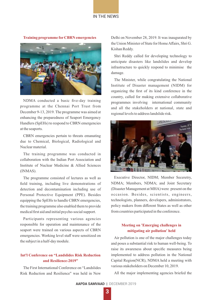IN THE NEWS

**Training programme forCBRN emergencies**

NDMA conducted a basic five-day training programme at the Chennai Port Trust from December 9-13, 2019. The programme was aimed at enhancing the preparedness of Seaport Emergency Handlers (SpEHs) to respond to CBRN emergencies at the seaports.

CBRN emergencies pertain to threats emanating due to Chemical, Biological, Radiological and Nuclear material.

The training programme was conducted in collaboration with the Indian Port Association and Institute of Nuclear Medicine & Allied Sciences (INMAS).

The programme consisted of lectures as well as field training, including live demonstrations of detection and decontamination including use of Personal Protective Equipment (PPE). Besides equipping the SpEHs to handle CBRN emergencies, the training programme also enabled them to provide medical first aid and initial psycho-social support.

Participants representing various agencies responsible for operation and maintenance of the seaport were trained on various aspects of CBRN emergencies. Working level staff were sensitized on the subject in a half-day module.

## **Int'l Conference on "Landslides Risk Reduction and Resilience-2019"**

The First International Conference on "Landslides Risk Reduction and Resilience" was held in New Delhi on November 28, 2019. It was inaugurated by the Union Minister of State for Home Affairs, Shri G. Kishan Reddy.

Shri Reddy called for developing technology to anticipate disasters like landslides and develop infrastructure to quickly respond to minimise the damage.

The Minister, while congratulating the National Institute of Disaster management (NIDM) for organizing the first of its kind conference in the country, called for making extensive collaborative programmes involving international community and all the stakeholders at national, state and regional levels to address landslide risk.



Executive Director, NIDM; Member Seceretry, NDMA; Members, NDMA; and Joint Secretary (Disaster Management at MHA) were present on the occasion. Besides, scientists, engineers, technologists, planners, developers, administrators, policy makers from different States as well as other from countries participated in the conference.

## **Meeting on 'Emerging challenges in mitigating air pollution' held**

Air pollution is one of the major challenges today and poses a substantial risk to human well-being. To raise its awareness about specific measures being implemented to address pollution in the National Capital Region(NCR), NDMA held a meeting with various stakeholders on December 10, 2019.

All the major implementing agencies briefed the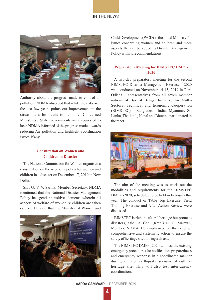#### IN THE NEWS



Authority about the progress made to control air pollution. NDMA observed that while the data over the last few years points out improvement in the situation, a lot needs to be done. Concerned Ministries / State Governments were requested to keep NDMAinformed of the progress made towards reducing Air pollution and highlight coordination issues, if any.

### **Consultation on Women and Children in Disaster**

The National Commission for Women organised a consultation on the need of a policy for women and children in a disaster on December 17, 2019 in New Delhi.

Shri G. V. V. Sarma, Member Secretary, NDMA mentioned that the National Disaster Management Policy has gender-sensitive elements wherein all aspects of welfare of women & children are taken care of. He said that the Ministry of Women and



Child Development (WCD) is the nodal Ministry for issues concerning women and children and more aspects the can be added to Disaster Management Policy with its recommendations.

#### **Preparatory Meeting for BIMSTEC DMEx-2020**

A two-day preparatory meeting for the second BIMSTEC Disaster Management Exercise - 2020 was conducted on November 14-15, 2019 in Puri, Odisha. Representatives from all seven member nations of Bay of Bengal Initiative for Multi-Sectoral Technical and Economic Cooperation (BIMSTEC) - Bangladesh, India, Myanmar, Sri Lanka, Thailand , Nepal and Bhutan - participated in the meet.



The aim of the meeting was to work out the modalities and requirements for the BIMSTEC DMEx -2020, scheduled to be held in February this year. The conduct of Table Top Exercise, Field Training Exercise and After Action Review were discussed.

BIMSTEC is rich in cultural heritage but prone to disasters, said Lt. Gen. (Retd.) N. C. Marwah, Member, NDMA. He emphasised on the need for comprehensive and systematic action to ensure the safety of heritage sites during a disaster.

The BIMSTEC DMEx -2020 will test the existing emergency procedures for notification, preparedness and emergency response in a coordinated manner during a major earthquake scenario at cultural heritage site. This will also test inter-agency coordination.

**AAPDA SAMVAAD** | DECEMBER 2019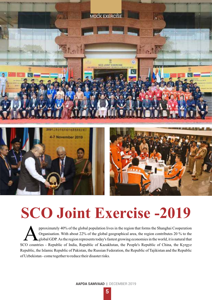

# **SCO Joint Exercise -2019**

pproximately 40% of the global population lives in the region that forms the Shanghai Cooperation Organisation. With about 22% of the global geographical area, the region contributes 20 % to the global GDP. As the region represents today's fastest growing economies in the world, it is natural that SCO countries - Republic of India, Republic of Kazakhstan, the People's Republic of China, the Kyrgyz Republic, the Islamic Republic of Pakistan, the Russian Federation, the Republic of Tajikistan and the Republic of Uzbekistan - come together to reduce their disaster risks.

**AAPDA SAMVAAD** | DECEMBER 2019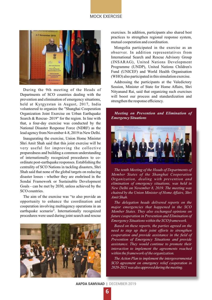#### MOCK EXERCISE



During the 9th meeting of the Heads of Departments of SCO countries dealing with the prevention and elimination of emergency situations, held at Kyrgyzstan in August, 2017, India volunteered to organize the "Shanghai Cooperation Organization Joint Exercise on Urban Earthquake Search & Rescue- 2019" for the region. In line with that, a four-day exercise was conducted by the National Disaster Response Force (NDRF) as the lead agency from November 4-8, 2019 in New Delhi.

Inaugurating the exercise, Union Home Minister Shri Amit Shah said that this joint exercise will be very useful for improving the collective preparedness and building a common understanding of internationally recognized procedures to coordinate post-earthquake responses. Establishing the centrality of SCO Nations in tackling disasters, Shri Shah said that none of the global targets on reducing disaster losses - whether they are enshrined in the Sendai Framework or Sustainable Development Goals - can be met by 2030, unless achieved by the SCO countries.

The aim of the exercise was "to also provide an opportunity to enhance the coordination and cooperation involving multiagency operations in an earthquake scenario". Internationally recognized procedures were used during joint search and rescue



exercises. In addition, participants also shared best practices to strengthen regional response system, mutual cooperation and coordination.

Mongolia participated in the exercise as an observer. In addition representatives from International Search and Rescue Advisory Group (INSARAG), United Nations Development Programme (UNDP), United Nations Children's Fund (UNICEF) and World Health Organisation (WHO) also participated in this simulation exercise.

Addressing the participants at the Valedictory Session, Minister of State for Home Affairs, Shri Nityanand Rai, said that organizing such exercises will boost our process and standardization and strengthen the response efficiency.

#### *Meeting on Prevention and Elimination of Emergency Situations*



*The tenth Meeting of the Heads of Departments of Member States of the Shanghai Cooperation Organization, dealing with prevention and elimination of emergency situations, was held in New Delhi on November 8, 2019. The meeting was chaired by the Union Minister of Home Affairs, Shri Amit Shah.*

*The delegation heads delivered reports on the major emergencies that happened in the SCO Member States. They also exchanged opinions on future cooperation in Prevention and Elimination of Emergency Situations within the SCO framework.*

*Based on these reports, the parties agreed on the need to step up their joint efforts to strengthen cooperation and provide assistance in the field of Prevention of Emergency Situations and provide assistance. They would continue to promote their interaction to implement the agreements reached within the framework of the organization.*

*The Action Plan to implement the intergovernmental SCO agreement on emergency relief cooperation in 2020-2021wasalsoapprovedduringthemeeting.*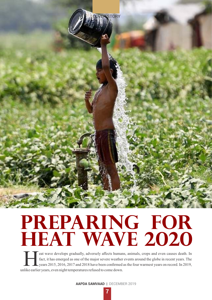

# **Preparing for HEAT WAVE 2020**

eat wave develops gradually, adversely affects humans, animals, crops and even causes death. In fact, it has emerged as one of the major severe weather events around the globe in recent years. The years 2015, 2016, 2017 and 2018 have been confirmed as the four warmest years on record. In 2019, unlike earlier years, even night temperatures refused to come down.

**AAPDA SAMVAAD** | DECEMBER 2019

 **7**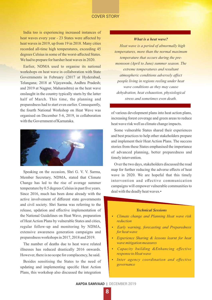#### COVER STORY

India too is experiencing increased instances of heat waves every year - 23 States were affected by heat waves in 2019, up from 19 in 2018. Many cities recorded all-time high temperatures, exceeding 45 degrees Celsius in some of the worst-affected States. We had to prepare for harsher heat waves in 2020.

Earlier, NDMA used to organise its national workshops on heat wave in collaboration with State Governments in February (2017 at Hyderabad, Telangana; 2018 at Vijayawada, Andhra Pradesh; and 2019 at Nagpur, Maharashtra) as the heat wave onslaught in the country typically starts by the latter half of March. This time, the planning and preparedness had to start even earlier. Consequently, the fourth National Workshop on Heat Wave was organised on December 5-6, 2019, in collaboration with the Government of Karnataka.



Speaking on the occasion, Shri G. V. V. Sarma, Member Secretary, NDMA, stated that Climate Change has led to the rise of average summer temperature by 0.5 degrees Celsius in past five years. Since 2016, much has been done already with the active involvement of different state governments and civil society. Shri Sarma was referring to the release, updation and effective implementation of the National Guidelines on Heat Wave, preparation of Heat Action Plans by vulnerable States and cities, regular follow-up and monitoring by NDMA, extensive awareness generation campaigns and preparedness workshops in 2017, 2018 and 2019.

The number of deaths due to heat wave related illnesses has reduced drastically 2016 onwards. However, there is no scope for complacency, he said.

Besides sensitising the States to the need of updating and implementing specific Heat Action Plans, this workshop also discussed the integration

#### *What is a heat wave?*

*Heat wave is a period of abnormally high temperatures, more than the normal maximum temperature that occurs during the premonsoon (April to June) summer season. The extreme temperatures and resultant atmospheric conditions adversely affect people living in regions reeling under heat wave conditions as they may cause dehydration, heat exhaustion, physiological stress and sometimes even death.*

of various development plans into heat action plans, increasing forest coverage and green areas to reduce heat wave risk well as climate change impacts.

Some vulnerable States shared their experiences and best practices to help other stakeholders prepare and implement their Heat Action Plans. The success stories from these States emphasised the importance of advanced planning, better preparedness and timely intervention.

Over the two days, stakeholders discussed the road map for further reducing the adverse effects of heat wave in 2020. We are hopeful that this timely intervention and effective communication campaigns will empower vulnerable communities to deal with the deadly heat waves.•

#### *Technical Sessions*

- *Climate change and Planning Heat wave risk reduction*
- $\cdot$  *Early warning, forecasting and Preparedness for heat wave*
- **•** *Experience Sharing & lessons learnt for heat wave mitigation measures*
- *Capacity building &Enhancing effective response to Heat wave*
- *Inter agency coordination and effective governance*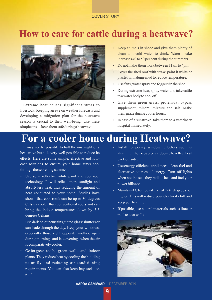### COVER STORY

# **How to care for cattle during a heatwave?**



Extreme heat causes significant stress to livestock. Keeping an eye on weather forecasts and developing a mitigation plan for the heatwave season is crucial to their well-being. Use these simple tips to keep them safe during a heatwave.

- Keep animals in shade and give them plenty of clean and cold water to drink. Water intake increases 40 to 50 per cent during the summers.
- Do not make them work between 11am to 4pm.
- Cover the shed roof with straw, paint it white or plaster with dung-mud to reduce temperature.
- Use fans, water spray and foggers in the shed.
- During extreme heat, spray water and take cattle to a water body to cool off.
- Give them green grass, protein-fat bypass supplement, mineral mixture and salt. Make them graze during cooler hours.
- In case of a sunstroke, take them to a veterinary hospital immediately.

# **For a cooler home during Heatwave?**

It may not be possible to halt the onslaught of a heat wave but it is very well possible to reduce its effects. Here are some simple, effective and lowcost solutions to ensure your home stays cool through the scorching summers:

- Use solar reflective white paint and cool roof technology. It will reflect more sunlight and absorb less heat, thus reducing the amount of heat conducted to your home. Studies have shown that cool roofs can be up to 30 degrees Celsius cooler than conventional roofs and can bring the indoor temperatures down by 3-5 degrees Celsius.
- Use dark colour curtains, tinted glass/ shutters or sunshade through the day. Keep your windows, especially those right opposite another, open during mornings and late evenings when the air is comparatively cooler.
- Go for green roofs, green walls and indoor plants. They reduce heat by cooling the building naturally and reducing air-conditioning requirements. You can also keep haystacks on roofs.
- Install temporary window reflectors such as aluminium foil-covered cardboard to reflect heat back outside.
- Use energy-efficient appliances, clean fuel and alternative sources of energy. Turn off lights when not in use – they radiate heat and fuel your power bills too.
- Maintain AC temperature at 24 degrees or higher. This will reduce your electricity bill and keep you healthier.
- If possible, use natural materials such as lime or mud to coat walls.



**AAPDA SAMVAAD** | DECEMBER 2019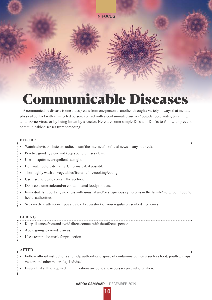

# Acommunicable disease is one that spreads from one person to another through a variety of ways that include:

physical contact with an infected person, contact with a contaminated surface/ object/ food/ water, breathing in an airborne virus; or by being bitten by a vector. Here are some simple Do's and Don'ts to follow to prevent communicable diseases from spreading:

### **BEFORE**

- Watch television, listen to radio, or surf the Internet for official news of any outbreak.
- Practice good hygiene and keep your premises clean.
- Use mosquito nets/repellents at night.
- Boil water before drinking. Chlorinate it, if possible.
- Thoroughly wash all vegetables/fruits before cooking/eating.
- Use insecticides to contain the vectors.
- Don't consume stale and/or contaminated food products.
- Immediately report any sickness with unusual and/or suspicious symptoms in the family/ neighbourhood to health authorities.
- Seek medical attention if you are sick; keep a stock of your regular prescribed medicines.

#### **DURING**

- Keep distance from and avoid direct contact with the affected person.
- Avoid going to crowded areas.
- Use a respiration mask for protection.

#### **AFTER**

- Follow official instructions and help authorities dispose of contaminated items such as food, poultry, crops, vectors and other materials, if advised.
- Ensure that all the required immunizations are done and necessary precautions taken.
- 

**AAPDA SAMVAAD** | DECEMBER 2019

 **10**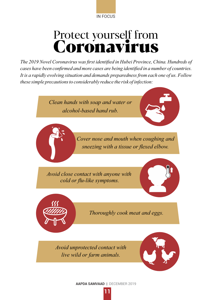

# Protect yourself from Coronavirus

*The 2019 Novel Coronavirus was first identified in Hubei Province, China. Hundreds of cases have been confirmed and more cases are being identified in a number of countries. It is a rapidly evolving situation and demands preparedness from each one of us. Follow these simple precautions to considerably reduce the risk of infection:*

> *Clean hands with soap and water or alcohol-based hand rub.*



*Cover nose and mouth when coughing and sneezing with a tissue or flexed elbow.*

*Avoid close contact with anyone with cold or flu-like symptoms.*





*Thoroughly cook meat and eggs.*

*Avoid unprotected contact with live wild or farm animals.*



**AAPDA SAMVAAD** | DECEMBER 2019

 **11**